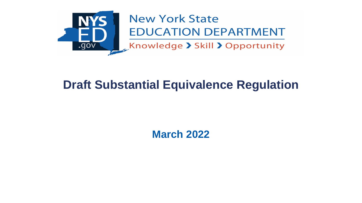

#### **New York State EDUCATION DEPARTMENT**

Knowledge > Skill > Opportunity

# **Draft Substantial Equivalence Regulation**

**March 2022**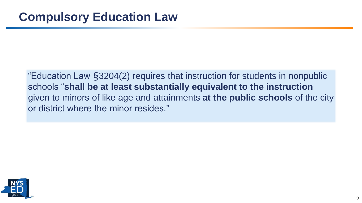"Education Law §3204(2) requires that instruction for students in nonpublic schools "**shall be at least substantially equivalent to the instruction** given to minors of like age and attainments **at the public schools** of the city or district where the minor resides."

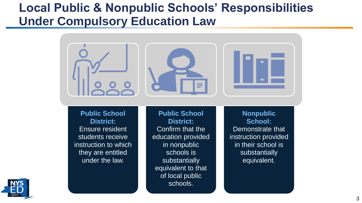### **Local Public & Nonpublic Schools' Responsibilities Under Compulsory Education Law**



equivalent to that

of local public

schools.

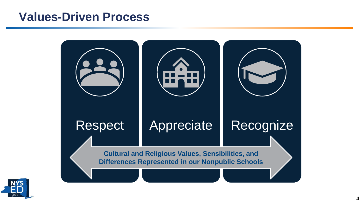#### **Values-Driven Process**



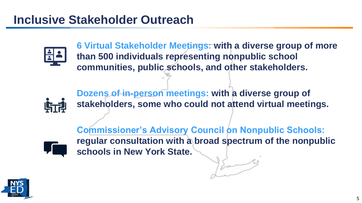

**6 Virtual Stakeholder Meetings: with a diverse group of more than 500 individuals representing nonpublic school communities, public schools, and other stakeholders.**



**Dozens of in-person meetings: with a diverse group of stakeholders, some who could not attend virtual meetings.** 



**Commissioner's Advisory Council on Nonpublic Schools: regular consultation with a broad spectrum of the nonpublic schools in New York State.** 

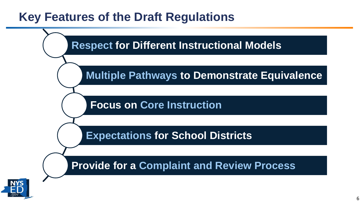# **Key Features of the Draft Regulations**



6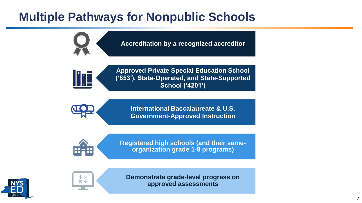# **Multiple Pathways for Nonpublic Schools**

**Accreditation by a recognized accreditor**

**Approved Private Special Education School ('853'), State-Operated, and State-Supported School ('4201')**

> **International Baccalaureate & U.S. Government-Approved Instruction**

l Tri

**Registered high schools (and their sameorganization grade 1-8 programs)** 





**Demonstrate grade-level progress on approved assessments**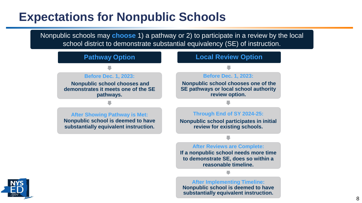### **Expectations for Nonpublic Schools**

Nonpublic schools may **choose** 1) a pathway or 2) to participate in a review by the local school district to demonstrate substantial equivalency (SE) of instruction.

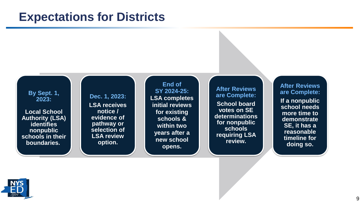#### **Expectations for Districts**

**By Sept. 1, 2023:** 

**Local School Authority (LSA) identifies nonpublic schools in their boundaries.**

**Dec. 1, 2023: LSA receives notice / evidence of pathway or selection of LSA review option.** 

**End of SY 2024-25: LSA completes initial reviews for existing schools & within two years after a new school opens.**

**After Reviews are Complete: School board votes on SE determinations for nonpublic schools requiring LSA review.**

**After Reviews are Complete: If a nonpublic school needs more time to demonstrate SE, it has a reasonable timeline for doing so.** 

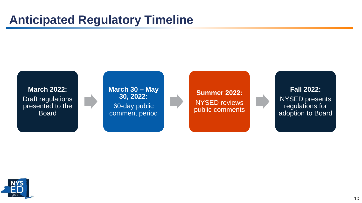### **Anticipated Regulatory Timeline**

**March 2022:** Draft regulations presented to the Board

**March 30 – May 30, 2022:** 60-day public comment period

**Summer 2022:** NYSED reviews public comments

**Fall 2022:** NYSED presents regulations for adoption to Board

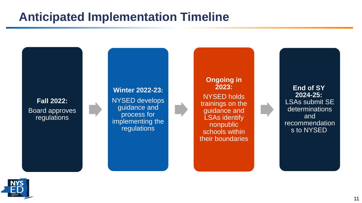### **Anticipated Implementation Timeline**

**Fall 2022:** Board approves regulations

#### **Winter 2022-23:**

NYSED develops guidance and process for implementing the regulations

**Ongoing in 2023:** NYSED holds trainings on the guidance and LSAs identify nonpublic schools within their boundaries

**End of SY 2024-25:** LSAs submit SE determinations and recommendation s to NYSED